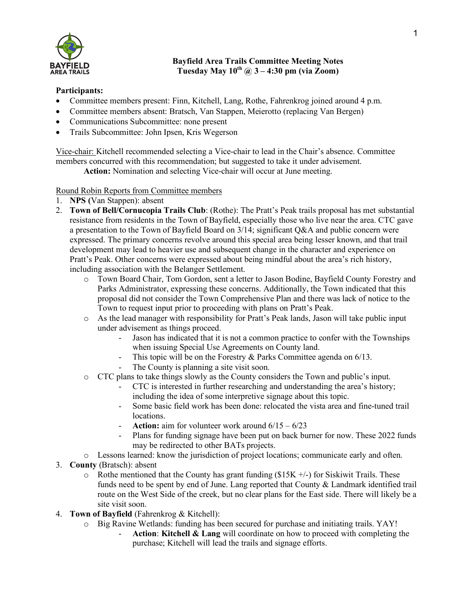

## **Bayfield Area Trails Committee Meeting Notes Tuesday May**  $10^{th}$   $\omega$   $3 - 4:30$  pm (via Zoom)

## **Participants:**

- Committee members present: Finn, Kitchell, Lang, Rothe, Fahrenkrog joined around 4 p.m.
- Committee members absent: Bratsch, Van Stappen, Meierotto (replacing Van Bergen)
- Communications Subcommittee: none present
- Trails Subcommittee: John Ipsen, Kris Wegerson

Vice-chair: Kitchell recommended selecting a Vice-chair to lead in the Chair's absence. Committee members concurred with this recommendation; but suggested to take it under advisement.

**Action:** Nomination and selecting Vice-chair will occur at June meeting.

## Round Robin Reports from Committee members

- 1. **NPS (**Van Stappen): absent
- 2. **Town of Bell/Cornucopia Trails Club**: (Rothe): The Pratt's Peak trails proposal has met substantial resistance from residents in the Town of Bayfield, especially those who live near the area. CTC gave a presentation to the Town of Bayfield Board on 3/14; significant Q&A and public concern were expressed. The primary concerns revolve around this special area being lesser known, and that trail development may lead to heavier use and subsequent change in the character and experience on Pratt's Peak. Other concerns were expressed about being mindful about the area's rich history, including association with the Belanger Settlement.
	- o Town Board Chair, Tom Gordon, sent a letter to Jason Bodine, Bayfield County Forestry and Parks Administrator, expressing these concerns. Additionally, the Town indicated that this proposal did not consider the Town Comprehensive Plan and there was lack of notice to the Town to request input prior to proceeding with plans on Pratt's Peak.
	- $\circ$  As the lead manager with responsibility for Pratt's Peak lands, Jason will take public input under advisement as things proceed.
		- Jason has indicated that it is not a common practice to confer with the Townships when issuing Special Use Agreements on County land.
		- This topic will be on the Forestry & Parks Committee agenda on 6/13.
		- The County is planning a site visit soon.
	- o CTC plans to take things slowly as the County considers the Town and public's input.
		- CTC is interested in further researching and understanding the area's history; including the idea of some interpretive signage about this topic.
		- Some basic field work has been done: relocated the vista area and fine-tuned trail locations.
		- **Action:** aim for volunteer work around  $6/15 6/23$
		- Plans for funding signage have been put on back burner for now. These 2022 funds may be redirected to other BATs projects.
	- o Lessons learned: know the jurisdiction of project locations; communicate early and often.
- 3. **County** (Bratsch): absent
	- $\circ$  Rothe mentioned that the County has grant funding (\$15K +/-) for Siskiwit Trails. These funds need to be spent by end of June. Lang reported that County & Landmark identified trail route on the West Side of the creek, but no clear plans for the East side. There will likely be a site visit soon.
- 4. **Town of Bayfield** (Fahrenkrog & Kitchell):
	- o Big Ravine Wetlands: funding has been secured for purchase and initiating trails. YAY!
		- **Action**: **Kitchell & Lang** will coordinate on how to proceed with completing the purchase; Kitchell will lead the trails and signage efforts.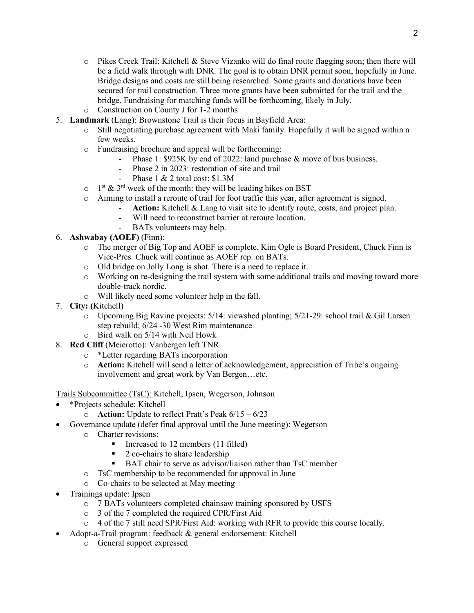- $\circ$  Pikes Creek Trail: Kitchell & Steve Vizanko will do final route flagging soon; then there will be a field walk through with DNR. The goal is to obtain DNR permit soon, hopefully in June. Bridge designs and costs are still being researched. Some grants and donations have been secured for trail construction. Three more grants have been submitted for the trail and the bridge. Fundraising for matching funds will be forthcoming, likely in July.
- o Construction on County J for 1-2 months
- 5. **Landmark** (Lang): Brownstone Trail is their focus in Bayfield Area:
	- o Still negotiating purchase agreement with Maki family. Hopefully it will be signed within a few weeks.
	- o Fundraising brochure and appeal will be forthcoming:
		- Phase 1: \$925K by end of 2022: land purchase & move of bus business.
		- Phase 2 in 2023: restoration of site and trail
			- Phase 1 & 2 total cost: \$1.3M
	- $\circ$  1<sup>st</sup> & 3<sup>rd</sup> week of the month: they will be leading hikes on BST
	- o Aiming to install a reroute of trail for foot traffic this year, after agreement is signed.
		- Action: Kitchell & Lang to visit site to identify route, costs, and project plan.
		- Will need to reconstruct barrier at reroute location.
		- BATs volunteers may help.

## 6. **Ashwabay (AOEF)** (Finn):

- o The merger of Big Top and AOEF is complete. Kim Ogle is Board President, Chuck Finn is Vice-Pres. Chuck will continue as AOEF rep. on BATs.
- o Old bridge on Jolly Long is shot. There is a need to replace it.
- o Working on re-designing the trail system with some additional trails and moving toward more double-track nordic.
- o Will likely need some volunteer help in the fall.
- 7. **City: (**Kitchell)
	- o Upcoming Big Ravine projects: 5/14: viewshed planting; 5/21-29: school trail & Gil Larsen step rebuild; 6/24 -30 West Rim maintenance
	- o Bird walk on 5/14 with Neil Howk
- 8. **Red Cliff** (Meierotto): Vanbergen left TNR
	- o \*Letter regarding BATs incorporation
	- o **Action:** Kitchell will send a letter of acknowledgement, appreciation of Tribe's ongoing involvement and great work by Van Bergen…etc.

Trails Subcommittee (TsC): Kitchell, Ipsen, Wegerson, Johnson

- \*Projects schedule: Kitchell
	- o **Action:** Update to reflect Pratt's Peak 6/15 6/23
- Governance update (defer final approval until the June meeting): Wegerson
	- o Charter revisions:
		- Increased to 12 members (11 filled)
		- § 2 co-chairs to share leadership
		- BAT chair to serve as advisor/liaison rather than TsC member
	- o TsC membership to be recommended for approval in June
	- o Co-chairs to be selected at May meeting
- Trainings update: Ipsen
	- o 7 BATs volunteers completed chainsaw training sponsored by USFS
	- o 3 of the 7 completed the required CPR/First Aid
	- o 4 of the 7 still need SPR/First Aid: working with RFR to provide this course locally.
	- Adopt-a-Trail program: feedback & general endorsement: Kitchell
		- o General support expressed